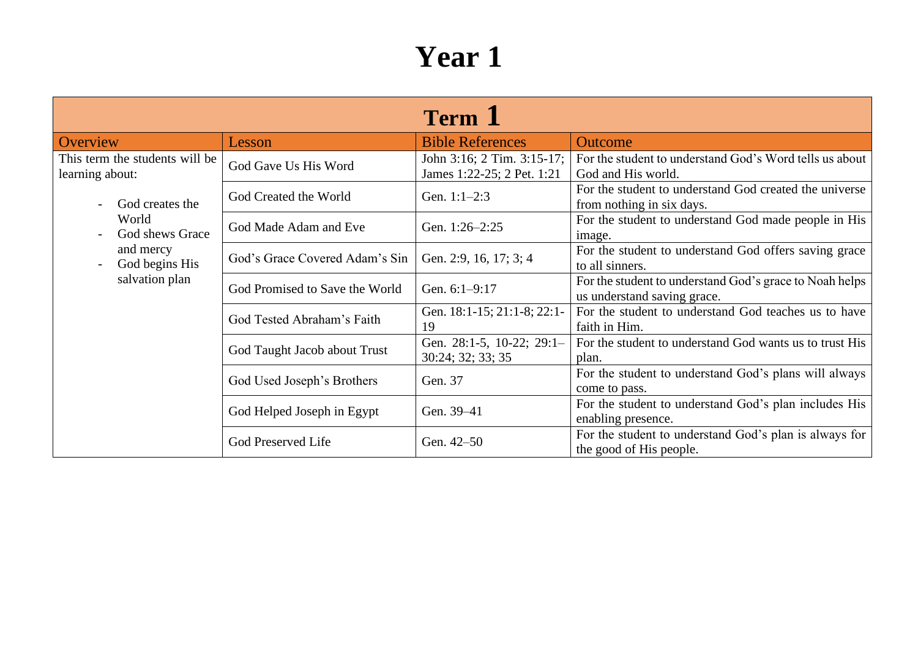| <b>Term</b> 1                                     |                                |                                                          |                                                                                        |  |
|---------------------------------------------------|--------------------------------|----------------------------------------------------------|----------------------------------------------------------------------------------------|--|
| Overview                                          | Lesson                         | <b>Bible References</b>                                  | <b>Outcome</b>                                                                         |  |
| This term the students will be<br>learning about: | God Gave Us His Word           | John 3:16; 2 Tim. 3:15-17;<br>James 1:22-25; 2 Pet. 1:21 | For the student to understand God's Word tells us about<br>God and His world.          |  |
| God creates the                                   | God Created the World          | Gen. 1:1-2:3                                             | For the student to understand God created the universe<br>from nothing in six days.    |  |
| World<br>God shews Grace                          | God Made Adam and Eve          | Gen. 1:26-2:25                                           | For the student to understand God made people in His<br>image.                         |  |
| and mercy<br>God begins His                       | God's Grace Covered Adam's Sin | Gen. 2:9, 16, 17; 3; 4                                   | For the student to understand God offers saving grace<br>to all sinners.               |  |
| salvation plan                                    | God Promised to Save the World | Gen. 6:1-9:17                                            | For the student to understand God's grace to Noah helps<br>us understand saving grace. |  |
|                                                   | God Tested Abraham's Faith     | Gen. 18:1-15; 21:1-8; 22:1-<br>19                        | For the student to understand God teaches us to have<br>faith in Him.                  |  |
|                                                   | God Taught Jacob about Trust   | Gen. 28:1-5, 10-22; 29:1-<br>30:24; 32; 33; 35           | For the student to understand God wants us to trust His<br>plan.                       |  |
|                                                   | God Used Joseph's Brothers     | Gen. 37                                                  | For the student to understand God's plans will always<br>come to pass.                 |  |
|                                                   | God Helped Joseph in Egypt     | Gen. 39-41                                               | For the student to understand God's plan includes His<br>enabling presence.            |  |
|                                                   | God Preserved Life             | Gen. 42–50                                               | For the student to understand God's plan is always for<br>the good of His people.      |  |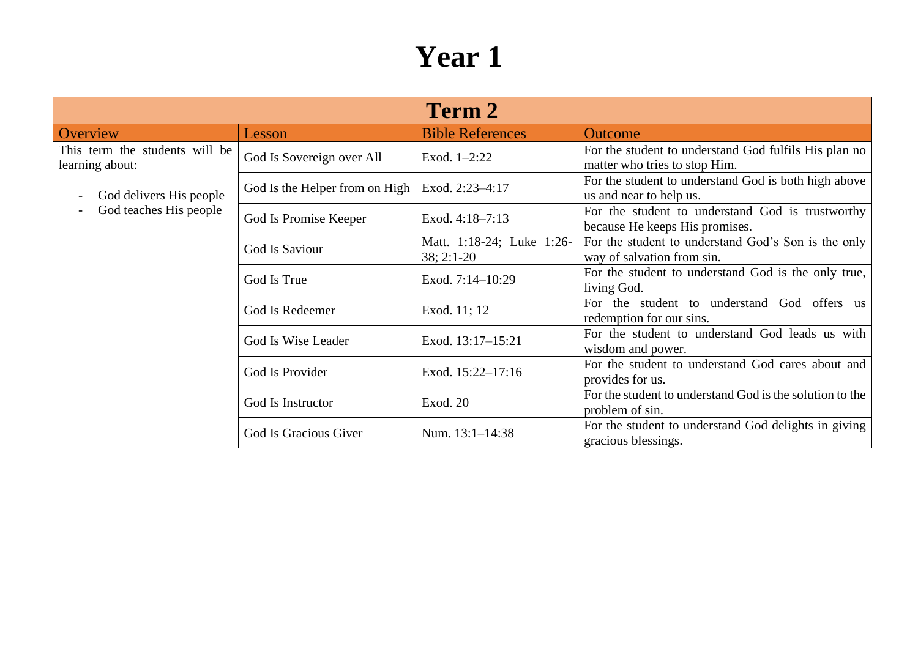| <b>Term 2</b>                                                       |                                |                                           |                                                                                        |  |
|---------------------------------------------------------------------|--------------------------------|-------------------------------------------|----------------------------------------------------------------------------------------|--|
| Overview                                                            | Lesson                         | <b>Bible References</b>                   | <b>Outcome</b>                                                                         |  |
| This term the students will be<br>learning about:                   | God Is Sovereign over All      | Exod. $1-2:22$                            | For the student to understand God fulfils His plan no<br>matter who tries to stop Him. |  |
| God delivers His people<br>God teaches His people<br>$\overline{a}$ | God Is the Helper from on High | Exod. 2:23-4:17                           | For the student to understand God is both high above<br>us and near to help us.        |  |
|                                                                     | God Is Promise Keeper          | Exod. 4:18-7:13                           | For the student to understand God is trustworthy<br>because He keeps His promises.     |  |
|                                                                     | God Is Saviour                 | Matt. 1:18-24; Luke 1:26-<br>$38; 2:1-20$ | For the student to understand God's Son is the only<br>way of salvation from sin.      |  |
|                                                                     | God Is True                    | Exod. 7:14-10:29                          | For the student to understand God is the only true,<br>living God.                     |  |
|                                                                     | God Is Redeemer                | Exod. 11; 12                              | For the student to understand God offers us<br>redemption for our sins.                |  |
|                                                                     | God Is Wise Leader             | Exod. 13:17-15:21                         | For the student to understand God leads us with<br>wisdom and power.                   |  |
|                                                                     | God Is Provider                | Exod. 15:22-17:16                         | For the student to understand God cares about and<br>provides for us.                  |  |
|                                                                     | God Is Instructor              | Exod. 20                                  | For the student to understand God is the solution to the<br>problem of sin.            |  |
|                                                                     | God Is Gracious Giver          | Num. 13:1-14:38                           | For the student to understand God delights in giving<br>gracious blessings.            |  |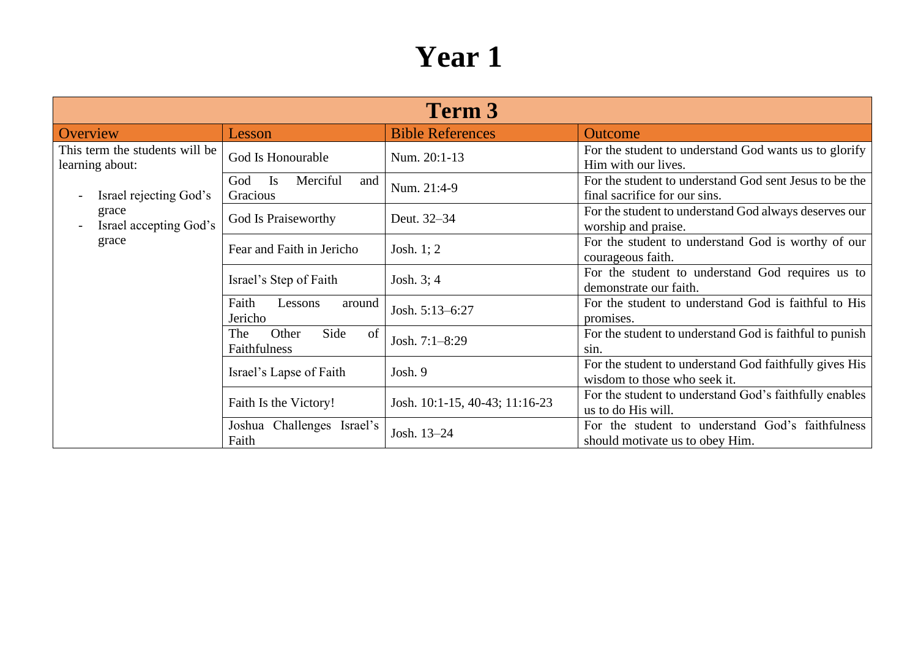| Term 3                                            |                                                 |                                |                                                                                         |
|---------------------------------------------------|-------------------------------------------------|--------------------------------|-----------------------------------------------------------------------------------------|
| Overview                                          | Lesson                                          | <b>Bible References</b>        | Outcome                                                                                 |
| This term the students will be<br>learning about: | God Is Honourable                               | Num. 20:1-13                   | For the student to understand God wants us to glorify<br>Him with our lives.            |
| Israel rejecting God's                            | Merciful<br><b>Is</b><br>God<br>and<br>Gracious | Num. 21:4-9                    | For the student to understand God sent Jesus to be the<br>final sacrifice for our sins. |
| grace<br>Israel accepting God's                   | God Is Praiseworthy                             | Deut. 32-34                    | For the student to understand God always deserves our<br>worship and praise.            |
| grace                                             | Fear and Faith in Jericho                       | Josh. $1:2$                    | For the student to understand God is worthy of our<br>courageous faith.                 |
|                                                   | Israel's Step of Faith                          | Josh. $3; 4$                   | For the student to understand God requires us to<br>demonstrate our faith.              |
|                                                   | Faith<br>Lessons<br>around<br>Jericho           | Josh. 5:13-6:27                | For the student to understand God is faithful to His<br>promises.                       |
|                                                   | Side<br>Other<br>The<br>of<br>Faithfulness      | Josh. 7:1-8:29                 | For the student to understand God is faithful to punish<br>sin.                         |
|                                                   | Israel's Lapse of Faith                         | Josh. 9                        | For the student to understand God faithfully gives His<br>wisdom to those who seek it.  |
|                                                   | Faith Is the Victory!                           | Josh. 10:1-15, 40-43; 11:16-23 | For the student to understand God's faithfully enables<br>us to do His will.            |
|                                                   | Joshua Challenges Israel's<br>Faith             | Josh. 13-24                    | For the student to understand God's faithfulness<br>should motivate us to obey Him.     |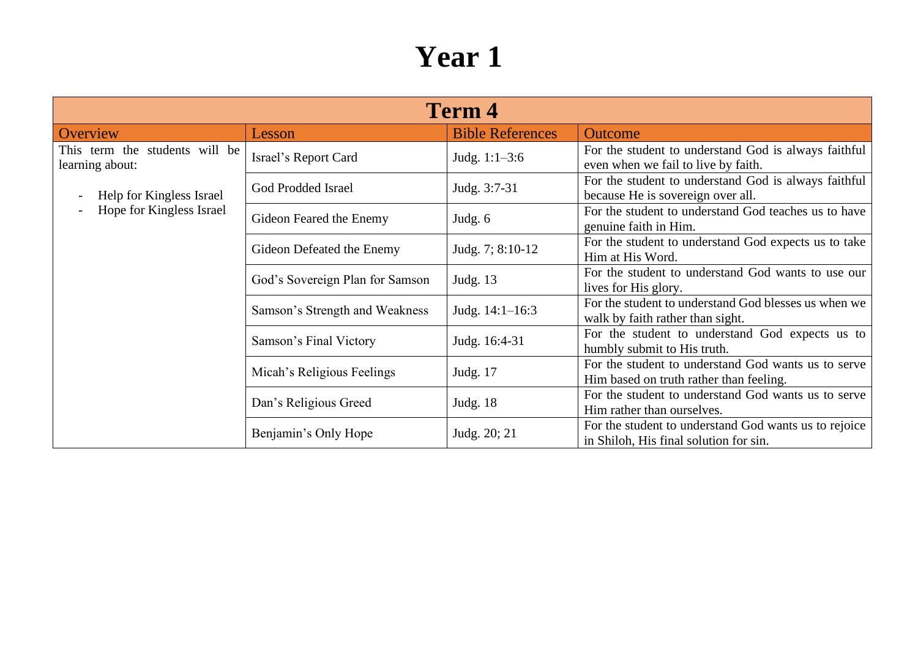| <b>Term 4</b>                                     |                                 |                         |                                                                                                 |  |
|---------------------------------------------------|---------------------------------|-------------------------|-------------------------------------------------------------------------------------------------|--|
| Overview                                          | Lesson                          | <b>Bible References</b> | <b>Outcome</b>                                                                                  |  |
| This term the students will be<br>learning about: | Israel's Report Card            | Judg. $1:1-3:6$         | For the student to understand God is always faithful<br>even when we fail to live by faith.     |  |
| Help for Kingless Israel                          | God Prodded Israel              | Judg. 3:7-31            | For the student to understand God is always faithful<br>because He is sovereign over all.       |  |
| Hope for Kingless Israel                          | Gideon Feared the Enemy         | Judg. 6                 | For the student to understand God teaches us to have<br>genuine faith in Him.                   |  |
|                                                   | Gideon Defeated the Enemy       | Judg. 7; 8:10-12        | For the student to understand God expects us to take<br>Him at His Word.                        |  |
|                                                   | God's Sovereign Plan for Samson | Judg. 13                | For the student to understand God wants to use our<br>lives for His glory.                      |  |
|                                                   | Samson's Strength and Weakness  | Judg. $14:1-16:3$       | For the student to understand God blesses us when we<br>walk by faith rather than sight.        |  |
|                                                   | Samson's Final Victory          | Judg. 16:4-31           | For the student to understand God expects us to<br>humbly submit to His truth.                  |  |
|                                                   | Micah's Religious Feelings      | Judg. 17                | For the student to understand God wants us to serve<br>Him based on truth rather than feeling.  |  |
|                                                   | Dan's Religious Greed           | Judg. $18$              | For the student to understand God wants us to serve<br>Him rather than ourselves.               |  |
|                                                   | Benjamin's Only Hope            | Judg. 20; 21            | For the student to understand God wants us to rejoice<br>in Shiloh, His final solution for sin. |  |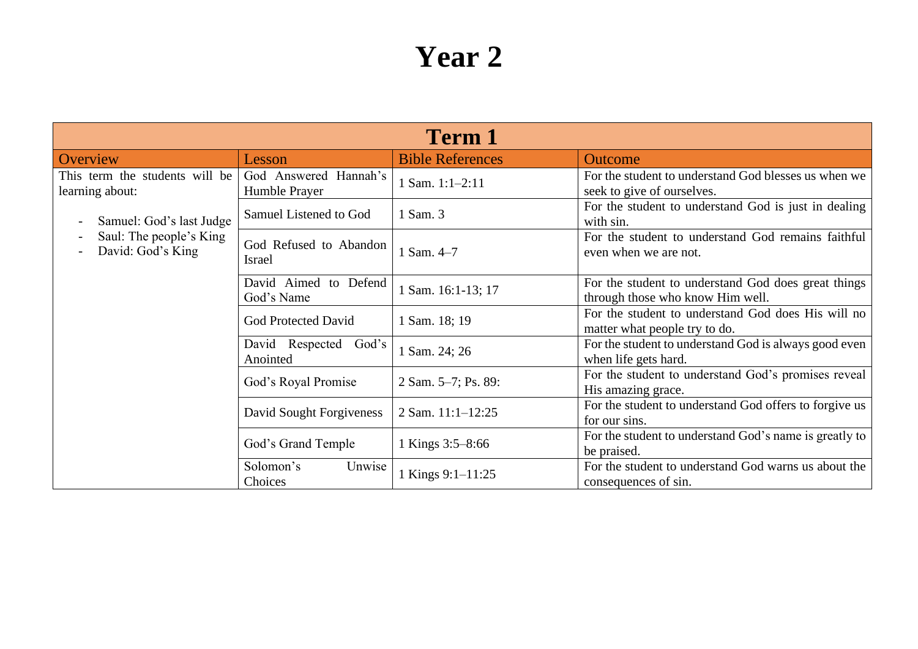| <b>Term 1</b>                                     |                                        |                         |                                                                                         |
|---------------------------------------------------|----------------------------------------|-------------------------|-----------------------------------------------------------------------------------------|
| Overview                                          | Lesson                                 | <b>Bible References</b> | <b>Outcome</b>                                                                          |
| This term the students will be<br>learning about: | God Answered Hannah's<br>Humble Prayer | 1 Sam. 1:1-2:11         | For the student to understand God blesses us when we<br>seek to give of ourselves.      |
| Samuel: God's last Judge                          | Samuel Listened to God                 | 1 Sam. 3                | For the student to understand God is just in dealing<br>with sin.                       |
| Saul: The people's King<br>David: God's King      | God Refused to Abandon<br>Israel       | 1 Sam. 4-7              | For the student to understand God remains faithful<br>even when we are not.             |
|                                                   | David Aimed to Defend<br>God's Name    | 1 Sam. 16:1-13; 17      | For the student to understand God does great things<br>through those who know Him well. |
|                                                   | <b>God Protected David</b>             | 1 Sam. 18; 19           | For the student to understand God does His will no<br>matter what people try to do.     |
|                                                   | David Respected God's<br>Anointed      | 1 Sam. 24; 26           | For the student to understand God is always good even<br>when life gets hard.           |
|                                                   | God's Royal Promise                    | 2 Sam. 5-7; Ps. 89:     | For the student to understand God's promises reveal<br>His amazing grace.               |
|                                                   | David Sought Forgiveness               | 2 Sam. 11:1-12:25       | For the student to understand God offers to forgive us<br>for our sins.                 |
|                                                   | God's Grand Temple                     | 1 Kings 3:5-8:66        | For the student to understand God's name is greatly to<br>be praised.                   |
|                                                   | Unwise<br>Solomon's<br>Choices         | 1 Kings 9:1-11:25       | For the student to understand God warns us about the<br>consequences of sin.            |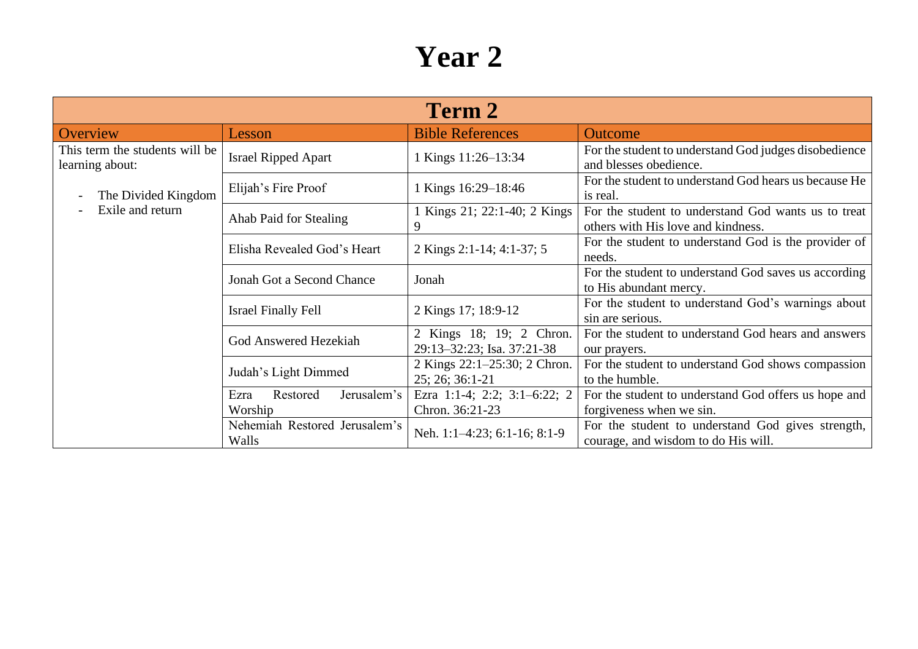| Term 2                                            |                                            |                                                        |                                                                                           |  |
|---------------------------------------------------|--------------------------------------------|--------------------------------------------------------|-------------------------------------------------------------------------------------------|--|
| Overview                                          | Lesson                                     | <b>Bible References</b>                                | <b>Outcome</b>                                                                            |  |
| This term the students will be<br>learning about: | <b>Israel Ripped Apart</b>                 | 1 Kings 11:26-13:34                                    | For the student to understand God judges disobedience<br>and blesses obedience.           |  |
| The Divided Kingdom                               | Elijah's Fire Proof                        | 1 Kings 16:29–18:46                                    | For the student to understand God hears us because He<br>is real.                         |  |
| Exile and return                                  | Ahab Paid for Stealing                     | 1 Kings 21; 22:1-40; 2 Kings<br>9                      | For the student to understand God wants us to treat<br>others with His love and kindness. |  |
|                                                   | Elisha Revealed God's Heart                | 2 Kings 2:1-14; 4:1-37; 5                              | For the student to understand God is the provider of<br>needs.                            |  |
|                                                   | Jonah Got a Second Chance                  | Jonah                                                  | For the student to understand God saves us according<br>to His abundant mercy.            |  |
|                                                   | <b>Israel Finally Fell</b>                 | 2 Kings 17; 18:9-12                                    | For the student to understand God's warnings about<br>sin are serious.                    |  |
|                                                   | God Answered Hezekiah                      | 2 Kings 18; 19; 2 Chron.<br>29:13-32:23; Isa. 37:21-38 | For the student to understand God hears and answers<br>our prayers.                       |  |
|                                                   | Judah's Light Dimmed                       | 2 Kings 22:1-25:30; 2 Chron.<br>25; 26; 36:1-21        | For the student to understand God shows compassion<br>to the humble.                      |  |
|                                                   | Jerusalem's<br>Restored<br>Ezra<br>Worship | Ezra 1:1-4; 2:2; 3:1-6:22; 2<br>Chron. 36:21-23        | For the student to understand God offers us hope and<br>forgiveness when we sin.          |  |
|                                                   | Nehemiah Restored Jerusalem's<br>Walls     | Neh. 1:1-4:23; 6:1-16; 8:1-9                           | For the student to understand God gives strength,<br>courage, and wisdom to do His will.  |  |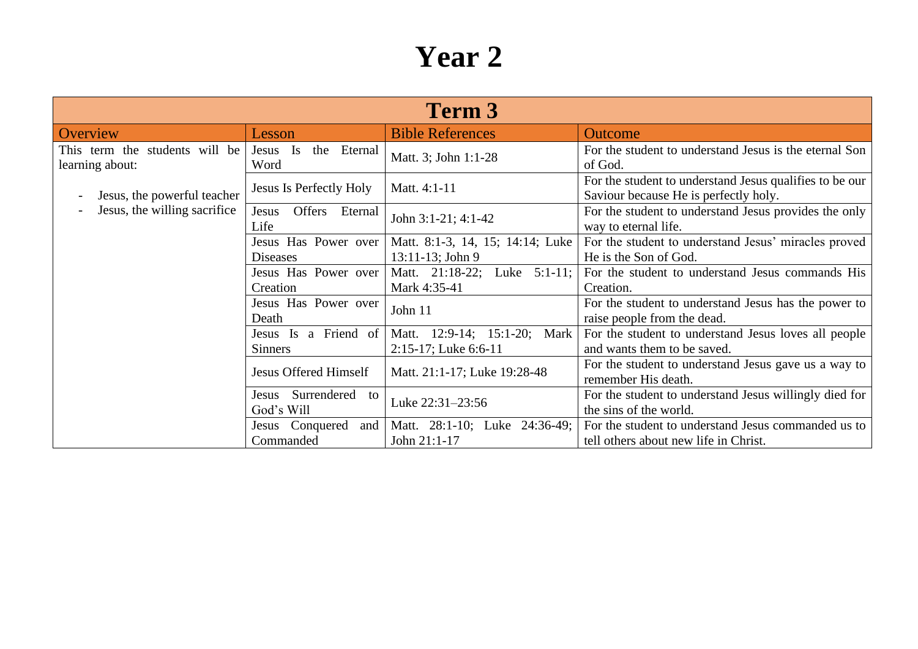| Term 3                                            |                                          |                                                            |                                                                                                  |  |
|---------------------------------------------------|------------------------------------------|------------------------------------------------------------|--------------------------------------------------------------------------------------------------|--|
| Overview                                          | Lesson                                   | <b>Bible References</b>                                    | <b>Outcome</b>                                                                                   |  |
| This term the students will be<br>learning about: | Jesus Is<br>the Eternal<br>Word          | Matt. 3; John 1:1-28                                       | For the student to understand Jesus is the eternal Son<br>of God.                                |  |
| Jesus, the powerful teacher                       | <b>Jesus Is Perfectly Holy</b>           | Matt. 4:1-11                                               | For the student to understand Jesus qualifies to be our<br>Saviour because He is perfectly holy. |  |
| Jesus, the willing sacrifice                      | Offers Eternal<br>Jesus<br>Life          | John 3:1-21; 4:1-42                                        | For the student to understand Jesus provides the only<br>way to eternal life.                    |  |
|                                                   | Jesus Has Power over<br><b>Diseases</b>  | Matt. 8:1-3, 14, 15; 14:14; Luke<br>13:11-13; John 9       | For the student to understand Jesus' miracles proved<br>He is the Son of God.                    |  |
|                                                   | Jesus Has Power over<br>Creation         | Matt. 21:18-22; Luke 5:1-11;<br>Mark 4:35-41               | For the student to understand Jesus commands His<br>Creation.                                    |  |
|                                                   | Jesus Has Power over<br>Death            | John 11                                                    | For the student to understand Jesus has the power to<br>raise people from the dead.              |  |
|                                                   | Jesus Is a Friend of<br><b>Sinners</b>   | Matt. 12:9-14; 15:1-20;<br>Mark<br>$2:15-17$ ; Luke 6:6-11 | For the student to understand Jesus loves all people<br>and wants them to be saved.              |  |
|                                                   | <b>Jesus Offered Himself</b>             | Matt. 21:1-17; Luke 19:28-48                               | For the student to understand Jesus gave us a way to<br>remember His death.                      |  |
|                                                   | Surrendered<br>Jesus<br>to<br>God's Will | Luke 22:31-23:56                                           | For the student to understand Jesus willingly died for<br>the sins of the world.                 |  |
|                                                   | Jesus Conquered<br>and<br>Commanded      | Matt. 28:1-10; Luke 24:36-49;<br>John 21:1-17              | For the student to understand Jesus commanded us to<br>tell others about new life in Christ.     |  |